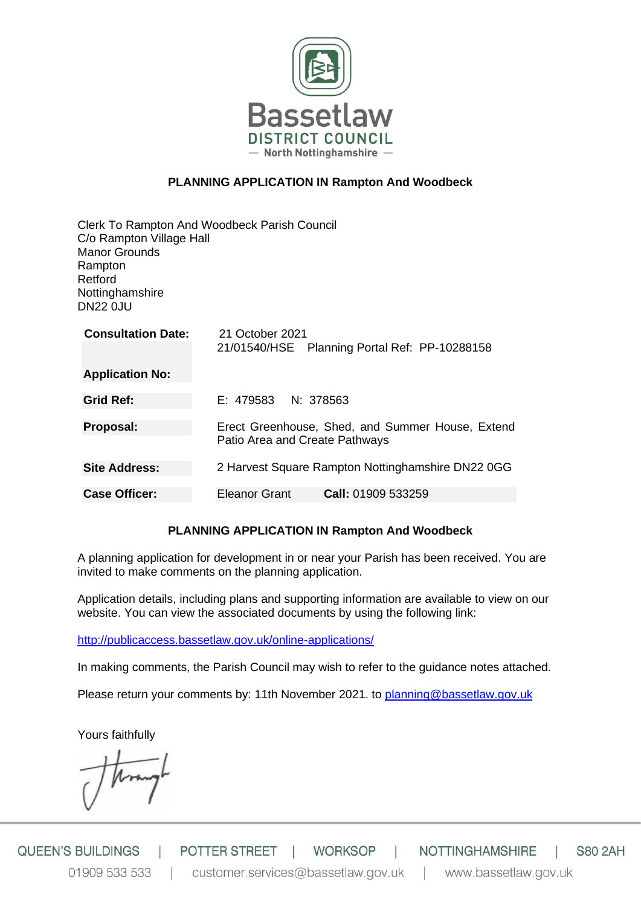

# **PLANNING APPLICATION IN Rampton And Woodbeck**

| C/o Rampton Village Hall<br><b>Manor Grounds</b><br>Rampton<br>Retford<br>Nottinghamshire<br><b>DN22 0JU</b> | Clerk To Rampton And Woodbeck Parish Council                                       |
|--------------------------------------------------------------------------------------------------------------|------------------------------------------------------------------------------------|
| <b>Consultation Date:</b>                                                                                    | 21 October 2021<br>21/01540/HSE Planning Portal Ref: PP-10288158                   |
| <b>Application No:</b>                                                                                       |                                                                                    |
| <b>Grid Ref:</b>                                                                                             | $E: 479583$ N: 378563                                                              |
| Proposal:                                                                                                    | Erect Greenhouse, Shed, and Summer House, Extend<br>Patio Area and Create Pathways |
| <b>Site Address:</b>                                                                                         | 2 Harvest Square Rampton Nottinghamshire DN22 0GG                                  |
| <b>Case Officer:</b>                                                                                         | Call: 01909 533259<br>Eleanor Grant                                                |

# **PLANNING APPLICATION IN Rampton And Woodbeck**

A planning application for development in or near your Parish has been received. You are invited to make comments on the planning application.

Application details, including plans and supporting information are available to view on our website. You can view the associated documents by using the following link:

<http://publicaccess.bassetlaw.gov.uk/online-applications/>

In making comments, the Parish Council may wish to refer to the guidance notes attached.

Please return your comments by: 11th November 2021. to [planning@bassetlaw.gov.uk](mailto:planning@bassetlaw.gov.uk)

Yours faithfully

**QUEEN'S BUILDINGS** POTTER STREET | **WORKSOP** NOTTINGHAMSHIRE **S80 2AH** 01909 533 533 customer.services@bassetlaw.gov.uk www.bassetlaw.gov.uk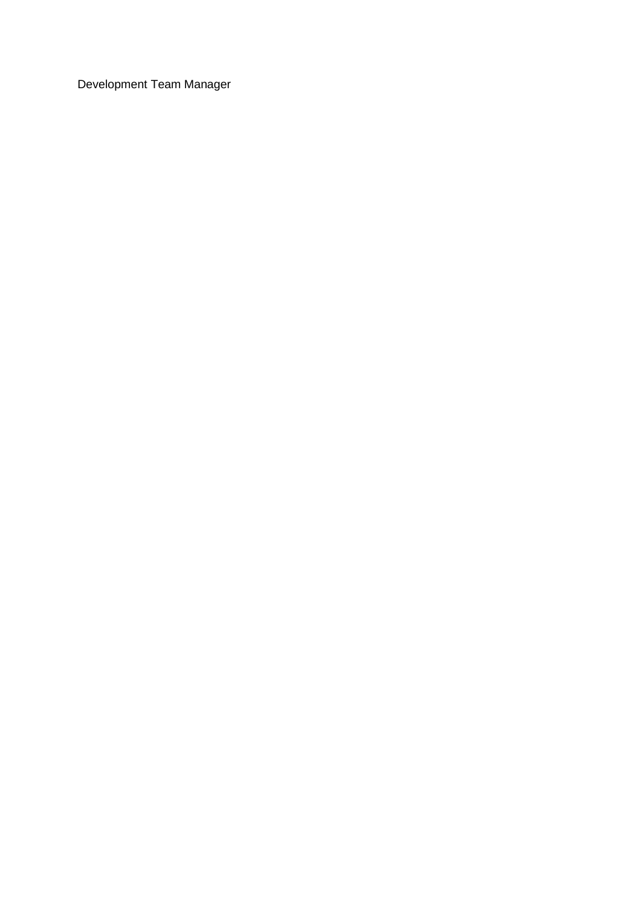Development Team Manager